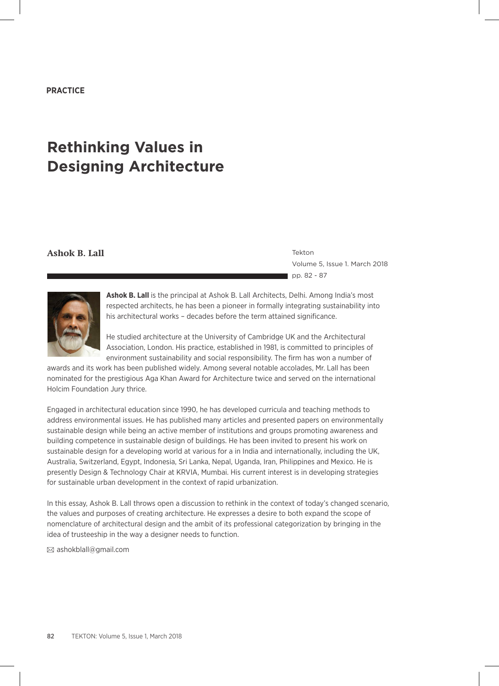## **PRACTICE**

# **Rethinking Values in Designing Architecture**

#### **Ashok B. Lall** Tekton

Volume 5, Issue 1. March 2018 pp. 82 - 87



Ashok B. Lall is the principal at Ashok B. Lall Architects, Delhi. Among India's most respected architects, he has been a pioneer in formally integrating sustainability into his architectural works – decades before the term attained significance.

He studied architecture at the University of Cambridge UK and the Architectural Association, London. His practice, established in 1981, is committed to principles of environment sustainability and social responsibility. The firm has won a number of

awards and its work has been published widely. Among several notable accolades, Mr. Lall has been nominated for the prestigious Aga Khan Award for Architecture twice and served on the international Holcim Foundation Jury thrice.

Engaged in architectural education since 1990, he has developed curricula and teaching methods to address environmental issues. He has published many articles and presented papers on environmentally sustainable design while being an active member of institutions and groups promoting awareness and building competence in sustainable design of buildings. He has been invited to present his work on sustainable design for a developing world at various for a in India and internationally, including the UK, Australia, Switzerland, Egypt, Indonesia, Sri Lanka, Nepal, Uganda, Iran, Philippines and Mexico. He is presently Design & Technology Chair at KRVIA, Mumbai. His current interest is in developing strategies for sustainable urban development in the context of rapid urbanization.

In this essay, Ashok B. Lall throws open a discussion to rethink in the context of today's changed scenario, the values and purposes of creating architecture. He expresses a desire to both expand the scope of nomenclature of architectural design and the ambit of its professional categorization by bringing in the idea of trusteeship in the way a designer needs to function.

ashokblall@gmail.com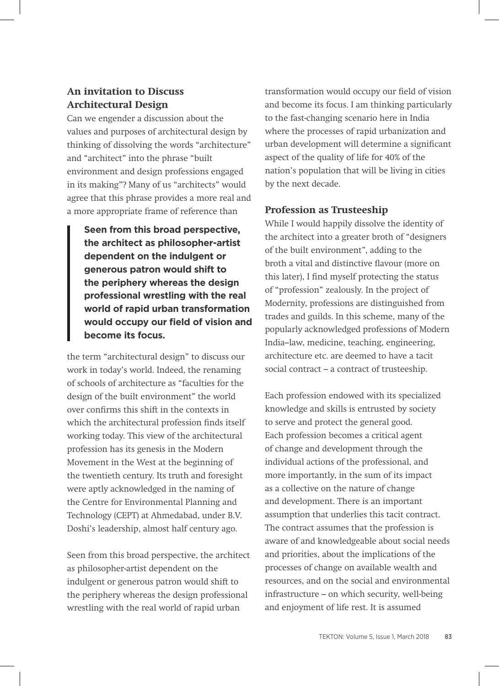# **An invitation to Discuss Architectural Design**

Can we engender a discussion about the values and purposes of architectural design by thinking of dissolving the words "architecture" and "architect" into the phrase "built environment and design professions engaged in its making"? Many of us "architects" would agree that this phrase provides a more real and a more appropriate frame of reference than

**Seen from this broad perspective, the architect as philosopher-artist dependent on the indulgent or generous patron would shift to the periphery whereas the design professional wrestling with the real world of rapid urban transformation would occupy our field of vision and become its focus.**

the term "architectural design" to discuss our work in today's world. Indeed, the renaming of schools of architecture as "faculties for the design of the built environment" the world over confirms this shift in the contexts in which the architectural profession finds itself working today. This view of the architectural profession has its genesis in the Modern Movement in the West at the beginning of the twentieth century. Its truth and foresight were aptly acknowledged in the naming of the Centre for Environmental Planning and Technology (CEPT) at Ahmedabad, under B.V. Doshi's leadership, almost half century ago.

Seen from this broad perspective, the architect as philosopher-artist dependent on the indulgent or generous patron would shift to the periphery whereas the design professional wrestling with the real world of rapid urban

transformation would occupy our field of vision and become its focus. I am thinking particularly to the fast-changing scenario here in India where the processes of rapid urbanization and urban development will determine a significant aspect of the quality of life for 40% of the nation's population that will be living in cities by the next decade.

# **Profession as Trusteeship**

While I would happily dissolve the identity of the architect into a greater broth of "designers of the built environment", adding to the broth a vital and distinctive flavour (more on this later), I find myself protecting the status of "profession" zealously. In the project of Modernity, professions are distinguished from trades and guilds. In this scheme, many of the popularly acknowledged professions of Modern India–law, medicine, teaching, engineering, architecture etc. are deemed to have a tacit social contract – a contract of trusteeship.

Each profession endowed with its specialized knowledge and skills is entrusted by society to serve and protect the general good. Each profession becomes a critical agent of change and development through the individual actions of the professional, and more importantly, in the sum of its impact as a collective on the nature of change and development. There is an important assumption that underlies this tacit contract. The contract assumes that the profession is aware of and knowledgeable about social needs and priorities, about the implications of the processes of change on available wealth and resources, and on the social and environmental infrastructure – on which security, well-being and enjoyment of life rest. It is assumed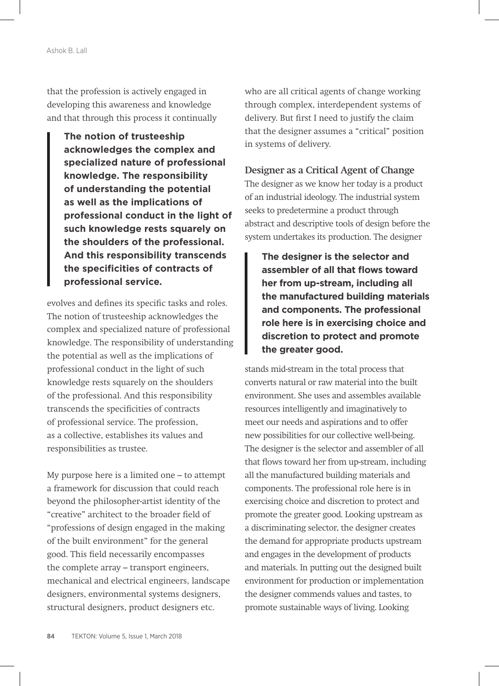that the profession is actively engaged in developing this awareness and knowledge and that through this process it continually

**The notion of trusteeship acknowledges the complex and specialized nature of professional knowledge. The responsibility of understanding the potential as well as the implications of professional conduct in the light of such knowledge rests squarely on the shoulders of the professional. And this responsibility transcends the specificities of contracts of professional service.**

evolves and defines its specific tasks and roles. The notion of trusteeship acknowledges the complex and specialized nature of professional knowledge. The responsibility of understanding the potential as well as the implications of professional conduct in the light of such knowledge rests squarely on the shoulders of the professional. And this responsibility transcends the specificities of contracts of professional service. The profession, as a collective, establishes its values and responsibilities as trustee.

My purpose here is a limited one – to attempt a framework for discussion that could reach beyond the philosopher-artist identity of the "creative" architect to the broader field of "professions of design engaged in the making of the built environment" for the general good. This field necessarily encompasses the complete array – transport engineers, mechanical and electrical engineers, landscape designers, environmental systems designers, structural designers, product designers etc.

who are all critical agents of change working through complex, interdependent systems of delivery. But first I need to justify the claim that the designer assumes a "critical" position in systems of delivery.

#### **Designer as a Critical Agent of Change**

The designer as we know her today is a product of an industrial ideology. The industrial system seeks to predetermine a product through abstract and descriptive tools of design before the system undertakes its production. The designer

**The designer is the selector and assembler of all that flows toward her from up-stream, including all the manufactured building materials and components. The professional role here is in exercising choice and discretion to protect and promote the greater good.**

stands mid-stream in the total process that converts natural or raw material into the built environment. She uses and assembles available resources intelligently and imaginatively to meet our needs and aspirations and to offer new possibilities for our collective well-being. The designer is the selector and assembler of all that flows toward her from up-stream, including all the manufactured building materials and components. The professional role here is in exercising choice and discretion to protect and promote the greater good. Looking upstream as a discriminating selector, the designer creates the demand for appropriate products upstream and engages in the development of products and materials. In putting out the designed built environment for production or implementation the designer commends values and tastes, to promote sustainable ways of living. Looking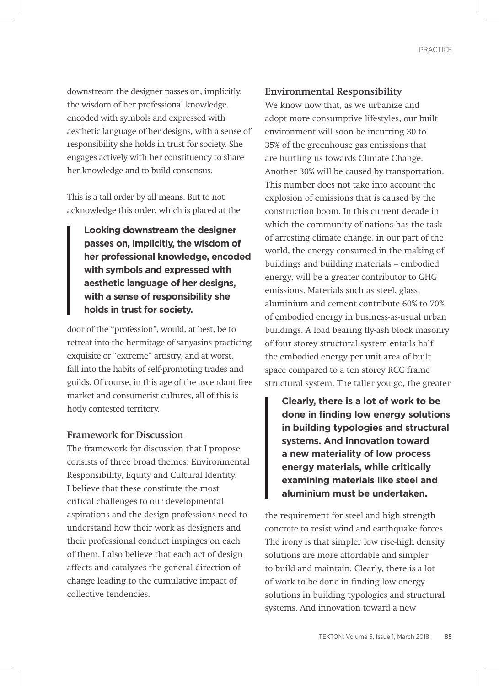downstream the designer passes on, implicitly, the wisdom of her professional knowledge, encoded with symbols and expressed with aesthetic language of her designs, with a sense of responsibility she holds in trust for society. She engages actively with her constituency to share her knowledge and to build consensus.

This is a tall order by all means. But to not acknowledge this order, which is placed at the

**Looking downstream the designer passes on, implicitly, the wisdom of her professional knowledge, encoded with symbols and expressed with aesthetic language of her designs, with a sense of responsibility she holds in trust for society.**

door of the "profession", would, at best, be to retreat into the hermitage of sanyasins practicing exquisite or "extreme" artistry, and at worst, fall into the habits of self-promoting trades and guilds. Of course, in this age of the ascendant free market and consumerist cultures, all of this is hotly contested territory.

#### **Framework for Discussion**

The framework for discussion that I propose consists of three broad themes: Environmental Responsibility, Equity and Cultural Identity. I believe that these constitute the most critical challenges to our developmental aspirations and the design professions need to understand how their work as designers and their professional conduct impinges on each of them. I also believe that each act of design affects and catalyzes the general direction of change leading to the cumulative impact of collective tendencies.

#### **Environmental Responsibility**

We know now that, as we urbanize and adopt more consumptive lifestyles, our built environment will soon be incurring 30 to 35% of the greenhouse gas emissions that are hurtling us towards Climate Change. Another 30% will be caused by transportation. This number does not take into account the explosion of emissions that is caused by the construction boom. In this current decade in which the community of nations has the task of arresting climate change, in our part of the world, the energy consumed in the making of buildings and building materials – embodied energy, will be a greater contributor to GHG emissions. Materials such as steel, glass, aluminium and cement contribute 60% to 70% of embodied energy in business-as-usual urban buildings. A load bearing fly-ash block masonry of four storey structural system entails half the embodied energy per unit area of built space compared to a ten storey RCC frame structural system. The taller you go, the greater

**Clearly, there is a lot of work to be done in finding low energy solutions in building typologies and structural systems. And innovation toward a new materiality of low process energy materials, while critically examining materials like steel and aluminium must be undertaken.**

the requirement for steel and high strength concrete to resist wind and earthquake forces. The irony is that simpler low rise-high density solutions are more affordable and simpler to build and maintain. Clearly, there is a lot of work to be done in finding low energy solutions in building typologies and structural systems. And innovation toward a new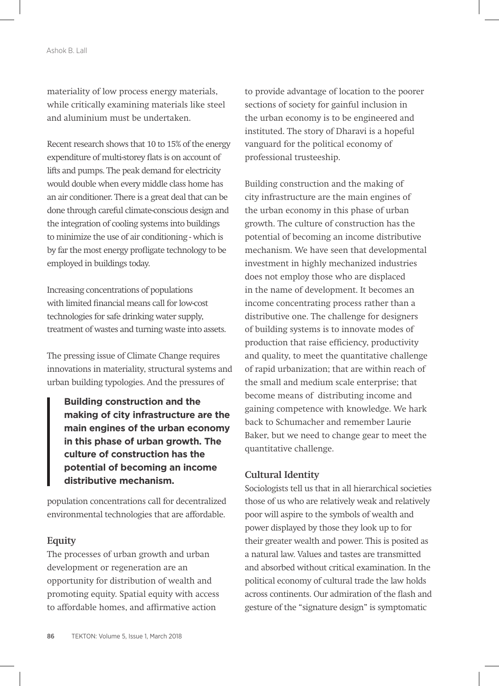materiality of low process energy materials, while critically examining materials like steel and aluminium must be undertaken.

Recent research shows that 10 to 15% of the energy expenditure of multi-storey flats is on account of lifts and pumps. The peak demand for electricity would double when every middle class home has an air conditioner. There is a great deal that can be done through careful climate-conscious design and the integration of cooling systems into buildings to minimize the use of air conditioning - which is by far the most energy profligate technology to be employed in buildings today.

Increasing concentrations of populations with limited financial means call for low-cost technologies for safe drinking water supply, treatment of wastes and turning waste into assets.

The pressing issue of Climate Change requires innovations in materiality, structural systems and urban building typologies. And the pressures of

**Building construction and the making of city infrastructure are the main engines of the urban economy in this phase of urban growth. The culture of construction has the potential of becoming an income distributive mechanism.** 

population concentrations call for decentralized environmental technologies that are affordable.

#### **Equity**

The processes of urban growth and urban development or regeneration are an opportunity for distribution of wealth and promoting equity. Spatial equity with access to affordable homes, and affirmative action

to provide advantage of location to the poorer sections of society for gainful inclusion in the urban economy is to be engineered and instituted. The story of Dharavi is a hopeful vanguard for the political economy of professional trusteeship.

Building construction and the making of city infrastructure are the main engines of the urban economy in this phase of urban growth. The culture of construction has the potential of becoming an income distributive mechanism. We have seen that developmental investment in highly mechanized industries does not employ those who are displaced in the name of development. It becomes an income concentrating process rather than a distributive one. The challenge for designers of building systems is to innovate modes of production that raise efficiency, productivity and quality, to meet the quantitative challenge of rapid urbanization; that are within reach of the small and medium scale enterprise; that become means of distributing income and gaining competence with knowledge. We hark back to Schumacher and remember Laurie Baker, but we need to change gear to meet the quantitative challenge.

## **Cultural Identity**

Sociologists tell us that in all hierarchical societies those of us who are relatively weak and relatively poor will aspire to the symbols of wealth and power displayed by those they look up to for their greater wealth and power. This is posited as a natural law. Values and tastes are transmitted and absorbed without critical examination. In the political economy of cultural trade the law holds across continents. Our admiration of the flash and gesture of the "signature design" is symptomatic